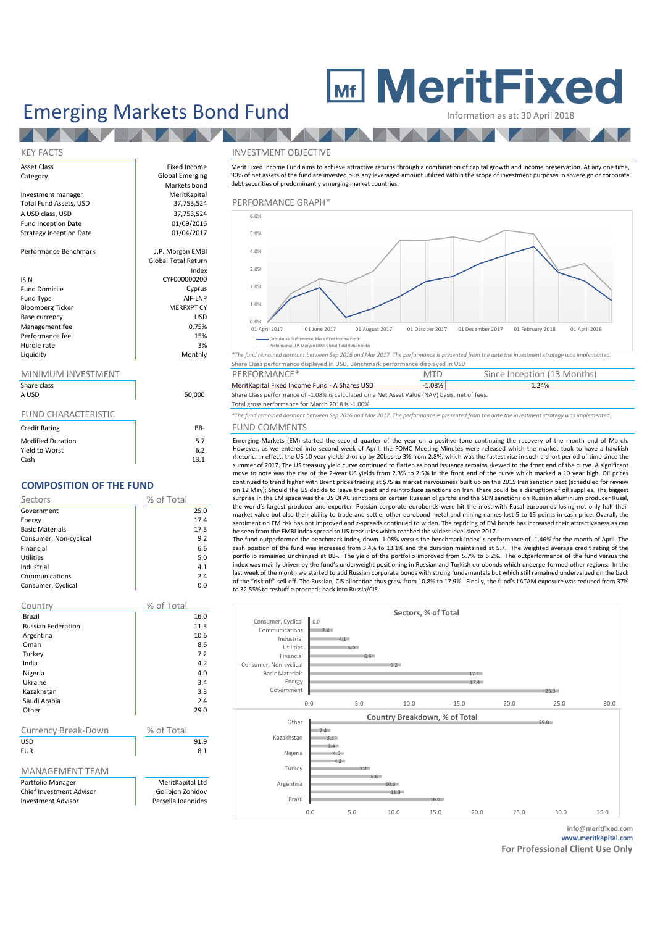# **MeritFixed**

**AND A** 

**TALLA** 

Emerging Markets Bond Fund

## Asset Class **Fixed Income** Category **Global Emerging** Markets bond<br>MeritKapital Investment manager MeritKapital<br>
Total Fund Assets. USD 37.753.524 A USD class, USD 37,753,524<br>
Fund Incention Date 61/09/2016 Fund Inception Date 01/09/2016<br>Strategy Incention Date 01/04/2017 Strategy Inception Date Performance Benchmark and J.P. Morgan EMBI Global Total Return Index ISIN CYF000000200 Fund Domicile Cyprus<br>
Fund Type **Cyprus**<br>
AIF-I NP Fund Type all and Type and Type and Type and Type and Type and Type and Type and Type and Type and Type and Type and Type and Type and Type and Type and Type and Type and Type and Type and Type and Type and Type and Type a Bloomberg Ticker MERFXPT CY<br>Rase Currency (USD) Base currency USD<br>
Management fee 
0.75%<br>
0.75% Management fee 6 0.75% of 15% of the 15% of the 15% of the 15% of the 15% of the 15% of the 15% of the 15% of the 15% of the 15% of the 15% of the 15% of the 15% of the 15% of the 15% of the 15% of the 15% of the 15% of th Performance fee 15% Hurdle rate and the state of the state of the state of the state of the state of the state of the state of the state of the state of the state of the state of the state of the state of the state of the state of the state o

N

## MINIMUM INVESTMENT

| Share class<br>A USD       | 50,000 |
|----------------------------|--------|
| <b>FUND CHARACTERISTIC</b> |        |
| <b>Credit Rating</b>       | BB-    |
| <b>Modified Duration</b>   | 5.7    |
| Yield to Worst             | հ շ    |

Cash  $\vert$  13.1

## **COMPOSITION OF THE FUND**

| Sectors                | % of Total |
|------------------------|------------|
| Government             | 25.0       |
| Energy                 | 17.4       |
| <b>Basic Materials</b> | 17.3       |
| Consumer, Non-cyclical | 9.2        |
| Financial              | 6.6        |
| Utilities              | 5.0        |
| Industrial             | 4.1        |
| Communications         | 2.4        |
| Consumer, Cyclical     | 0.0        |

| Country                   | % of Total         |  |  |
|---------------------------|--------------------|--|--|
| Brazil                    | 16.0               |  |  |
| <b>Russian Federation</b> | 11.3               |  |  |
| Argentina                 | 10.6               |  |  |
| Oman                      | 8.6                |  |  |
| Turkey                    | 7.2                |  |  |
| India                     | 42                 |  |  |
| Nigeria                   | 4.0                |  |  |
| Ukraine                   | 3.4                |  |  |
| Kazakhstan                | 3.3                |  |  |
| Saudi Arabia              | 2.4                |  |  |
| Other                     | 29.0               |  |  |
|                           |                    |  |  |
| Currency Break-Down       | % of Total         |  |  |
| USD                       | 91.9               |  |  |
| <b>FUR</b>                | 8.1                |  |  |
|                           |                    |  |  |
| <b>MANAGEMENT TEAM</b>    |                    |  |  |
| Portfolio Manager         | MeritKapital Ltd   |  |  |
| Chief Investment Advisor  | Golibjon Zohidov   |  |  |
| <b>Investment Advisor</b> | Persella Ioannides |  |  |

### KEY FACTS INVESTMENT OBJECTIVE

Merit Fixed Income Fund aims to achieve attractive returns through a combination of capital growth and income preservation. At any one time, 90% of net assets of the fund are invested plus any leveraged amount utilized within the scope of investment purposes in sovereign or corporate debt securities of predominantly emerging market countries.



Liquidity Monthly *\*The fund remained dormant between Sep 2016 and Mar 2017. The performance is presented from the date the investment strategy was implemented.* Share Class performance displayed in USD, Benchmark performance displayed in USD

| MINIMUM INVESTMENT |        | PERFORMANCE*                                                                                   | MTD   | Since Inception (13 Months) |  |
|--------------------|--------|------------------------------------------------------------------------------------------------|-------|-----------------------------|--|
| Share class        |        | MeritKapital Fixed Income Fund - A Shares USD                                                  | 1.08% | 1.24%                       |  |
| A USD              | 50,000 | Share Class performance of -1.08% is calculated on a Net Asset Value (NAV) basis, net of fees. |       |                             |  |

## Total gross performance for March 2018 is -1.00%.

\*The fund remained dormant between Sep 2016 and Mar 2017. The performance is presented from the date the investment strategy was implemented. R- FUND COMMENTS

Emerging Markets (EM) started the second quarter of the year on a positive tone continuing the recovery of the month end of March. However, as we entered into second week of April, the FOMC Meeting Minutes were released which the market took to have a hawkish rhetoric. In effect, the US 10 year yields shot up by 20bps to 3% from 2.8%, which was the fastest rise in such a short period of time since the summer of 2017. The US treasury yield curve continued to flatten as bond issuance remains skewed to the front end of the curve. A significant move to note was the rise of the 2-year US yields from 2.3% to 2.5% in the front end of the curve which marked a 10 year high. Oil prices continued to trend higher with Brent prices trading at \$75 as market nervousness built up on the 2015 Iran sanction pact (scheduled for review on 12 May); Should the US decide to leave the pact and reintroduce sanctions on Iran, there could be a disruption of oil supplies. The biggest surprise in the EM space was the US OFAC sanctions on certain Russian oligarchs and the SDN sanctions on Russian aluminium producer Rusal, the world's largest producer and exporter. Russian corporate eurobonds were hit the most with Rusal eurobonds losing not only half their market value but also their ability to trade and settle; other eurobond metal and mining names lost 5 to 15 points in cash price. Overall, the sentiment on EM risk has not improved and z-spreads continued to widen. The repricing of EM bonds has increased their attractiveness as can be seen from the EMBI index spread to US treasuries which reached the widest level since 2017.

The fund outperformed the benchmark index, down -1.08% versus the benchmark index' s performance of -1.46% for the month of April. The cash position of the fund was increased from 3.4% to 13.1% and the duration maintained at 5.7. The weighted average credit rating of the portfolio remained unchanged at BB-. The yield of the portfolio improved from 5.7% to 6.2%. The outperformance of the fund versus the index was mainly driven by the fund's underweight positioning in Russian and Turkish eurobonds which underperformed other regions. In the last week of the month we started to add Russian corporate bonds with strong fundamentals but which still remained undervalued on the back of the "risk off" sell-off. The Russian, CIS allocation thus grew from 10.8% to 17.9%. Finally, the fund's LATAM exposure was reduced from 37% to 32.55% to reshuffle proceeds back into Russia/CIS.



**info@meritfixed.com www.meritkapital.com**

**For Professional Client Use Only**